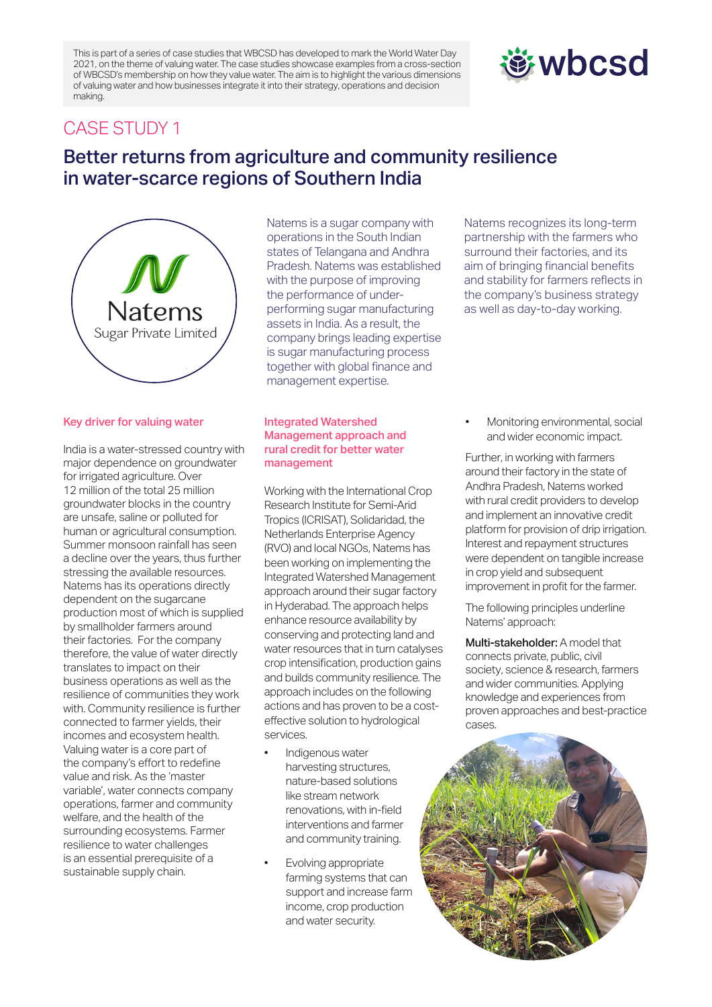This is part of a series of case studies that WBCSD has developed to mark the World Water Day 2021, on the theme of valuing water. The case studies showcase examples from a cross-section of WBCSD's membership on how they value water. The aim is to highlight the various dimensions of valuing water and how businesses integrate it into their strategy, operations and decision making.

# *む***wbcsd**

## CASE STUDY 1

# Better returns from agriculture and community resilience in water-scarce regions of Southern India

Natems Sugar Private Limited

### Key driver for valuing water

India is a water-stressed country with major dependence on groundwater for irrigated agriculture. Over 12 million of the total 25 million groundwater blocks in the country are unsafe, saline or polluted for human or agricultural consumption. Summer monsoon rainfall has seen a decline over the years, thus further stressing the available resources. Natems has its operations directly dependent on the sugarcane production most of which is supplied by smallholder farmers around their factories. For the company therefore, the value of water directly translates to impact on their business operations as well as the resilience of communities they work with. Community resilience is further connected to farmer yields, their incomes and ecosystem health. Valuing water is a core part of the company's effort to redefine value and risk. As the 'master variable', water connects company operations, farmer and community welfare, and the health of the surrounding ecosystems. Farmer resilience to water challenges is an essential prerequisite of a sustainable supply chain.

Natems is a sugar company with operations in the South Indian states of Telangana and Andhra Pradesh. Natems was established with the purpose of improving the performance of underperforming sugar manufacturing assets in India. As a result, the company brings leading expertise is sugar manufacturing process together with global finance and management expertise.

#### Integrated Watershed Management approach and rural credit for better water management

Working with the International Crop Research Institute for Semi-Arid Tropics (ICRISAT), Solidaridad, the Netherlands Enterprise Agency (RVO) and local NGOs, Natems has been working on implementing the Integrated Watershed Management approach around their sugar factory in Hyderabad. The approach helps enhance resource availability by conserving and protecting land and water resources that in turn catalyses crop intensification, production gains and builds community resilience. The approach includes on the following actions and has proven to be a costeffective solution to hydrological services.

- Indigenous water harvesting structures, nature-based solutions like stream network renovations, with in-field interventions and farmer and community training.
- Evolving appropriate farming systems that can support and increase farm income, crop production and water security.

Natems recognizes its long-term partnership with the farmers who surround their factories, and its aim of bringing financial benefits and stability for farmers reflects in the company's business strategy as well as day-to-day working.

• Monitoring environmental, social and wider economic impact.

Further, in working with farmers around their factory in the state of Andhra Pradesh, Natems worked with rural credit providers to develop and implement an innovative credit platform for provision of drip irrigation. Interest and repayment structures were dependent on tangible increase in crop yield and subsequent improvement in profit for the farmer.

The following principles underline Natems' approach:

Multi-stakeholder: A model that connects private, public, civil society, science & research, farmers and wider communities. Applying knowledge and experiences from proven approaches and best-practice cases.